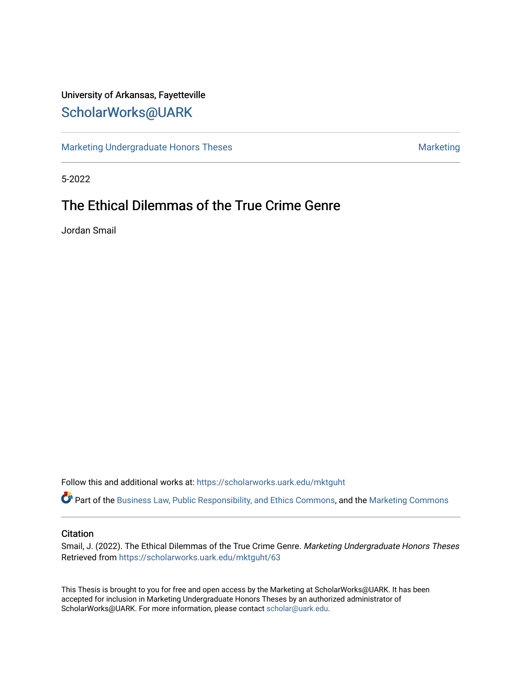# University of Arkansas, Fayetteville [ScholarWorks@UARK](https://scholarworks.uark.edu/)

[Marketing Undergraduate Honors Theses](https://scholarworks.uark.edu/mktguht) [Marketing](https://scholarworks.uark.edu/mktg) Marketing

5-2022

# The Ethical Dilemmas of the True Crime Genre

Jordan Smail

Follow this and additional works at: [https://scholarworks.uark.edu/mktguht](https://scholarworks.uark.edu/mktguht?utm_source=scholarworks.uark.edu%2Fmktguht%2F63&utm_medium=PDF&utm_campaign=PDFCoverPages)

Part of the [Business Law, Public Responsibility, and Ethics Commons](http://network.bepress.com/hgg/discipline/628?utm_source=scholarworks.uark.edu%2Fmktguht%2F63&utm_medium=PDF&utm_campaign=PDFCoverPages), and the [Marketing Commons](http://network.bepress.com/hgg/discipline/638?utm_source=scholarworks.uark.edu%2Fmktguht%2F63&utm_medium=PDF&utm_campaign=PDFCoverPages)

#### **Citation**

Smail, J. (2022). The Ethical Dilemmas of the True Crime Genre. Marketing Undergraduate Honors Theses Retrieved from [https://scholarworks.uark.edu/mktguht/63](https://scholarworks.uark.edu/mktguht/63?utm_source=scholarworks.uark.edu%2Fmktguht%2F63&utm_medium=PDF&utm_campaign=PDFCoverPages)

This Thesis is brought to you for free and open access by the Marketing at ScholarWorks@UARK. It has been accepted for inclusion in Marketing Undergraduate Honors Theses by an authorized administrator of ScholarWorks@UARK. For more information, please contact [scholar@uark.edu](mailto:scholar@uark.edu).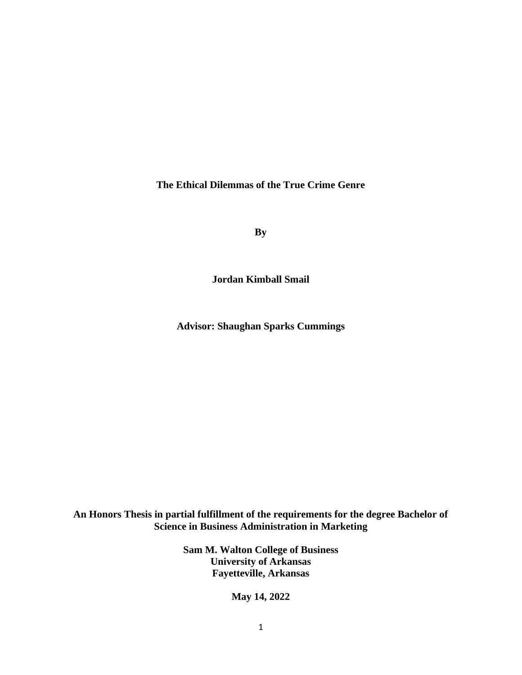**The Ethical Dilemmas of the True Crime Genre**

**By**

**Jordan Kimball Smail**

**Advisor: Shaughan Sparks Cummings**

**An Honors Thesis in partial fulfillment of the requirements for the degree Bachelor of Science in Business Administration in Marketing**

> **Sam M. Walton College of Business University of Arkansas Fayetteville, Arkansas**

> > **May 14, 2022**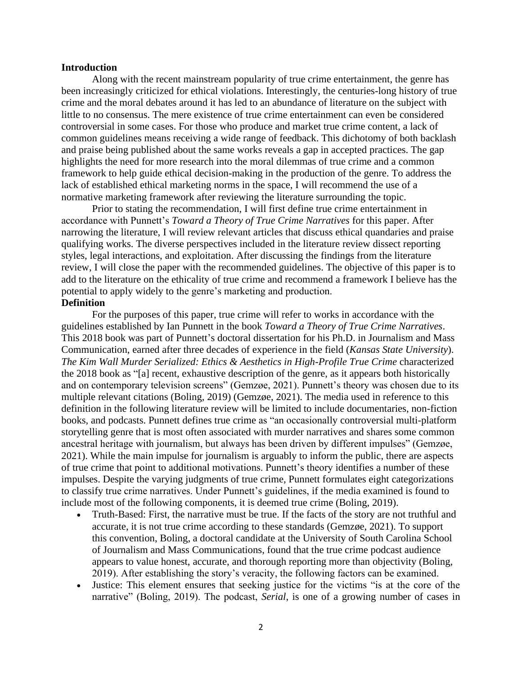#### **Introduction**

Along with the recent mainstream popularity of true crime entertainment, the genre has been increasingly criticized for ethical violations. Interestingly, the centuries-long history of true crime and the moral debates around it has led to an abundance of literature on the subject with little to no consensus. The mere existence of true crime entertainment can even be considered controversial in some cases. For those who produce and market true crime content, a lack of common guidelines means receiving a wide range of feedback. This dichotomy of both backlash and praise being published about the same works reveals a gap in accepted practices. The gap highlights the need for more research into the moral dilemmas of true crime and a common framework to help guide ethical decision-making in the production of the genre. To address the lack of established ethical marketing norms in the space, I will recommend the use of a normative marketing framework after reviewing the literature surrounding the topic.

Prior to stating the recommendation, I will first define true crime entertainment in accordance with Punnett's *Toward a Theory of True Crime Narratives* for this paper. After narrowing the literature, I will review relevant articles that discuss ethical quandaries and praise qualifying works. The diverse perspectives included in the literature review dissect reporting styles, legal interactions, and exploitation. After discussing the findings from the literature review, I will close the paper with the recommended guidelines. The objective of this paper is to add to the literature on the ethicality of true crime and recommend a framework I believe has the potential to apply widely to the genre's marketing and production. **Definition**

For the purposes of this paper, true crime will refer to works in accordance with the guidelines established by Ian Punnett in the book *Toward a Theory of True Crime Narratives*. This 2018 book was part of Punnett's doctoral dissertation for his Ph.D. in Journalism and Mass Communication, earned after three decades of experience in the field (*Kansas State University*). *The Kim Wall Murder Serialized: Ethics & Aesthetics in High-Profile True Crime* characterized the 2018 book as "[a] recent, exhaustive description of the genre, as it appears both historically and on contemporary television screens" (Gemzøe, 2021). Punnett's theory was chosen due to its multiple relevant citations (Boling, 2019) (Gemzøe, 2021). The media used in reference to this definition in the following literature review will be limited to include documentaries, non-fiction books, and podcasts. Punnett defines true crime as "an occasionally controversial multi-platform storytelling genre that is most often associated with murder narratives and shares some common ancestral heritage with journalism, but always has been driven by different impulses" (Gemzøe, 2021). While the main impulse for journalism is arguably to inform the public, there are aspects of true crime that point to additional motivations. Punnett's theory identifies a number of these impulses. Despite the varying judgments of true crime, Punnett formulates eight categorizations to classify true crime narratives. Under Punnett's guidelines, if the media examined is found to include most of the following components, it is deemed true crime (Boling, 2019).

- Truth-Based: First, the narrative must be true. If the facts of the story are not truthful and accurate, it is not true crime according to these standards (Gemzøe, 2021). To support this convention, Boling, a doctoral candidate at the University of South Carolina School of Journalism and Mass Communications, found that the true crime podcast audience appears to value honest, accurate, and thorough reporting more than objectivity (Boling, 2019). After establishing the story's veracity, the following factors can be examined.
- Justice: This element ensures that seeking justice for the victims "is at the core of the narrative" (Boling, 2019). The podcast, *Serial*, is one of a growing number of cases in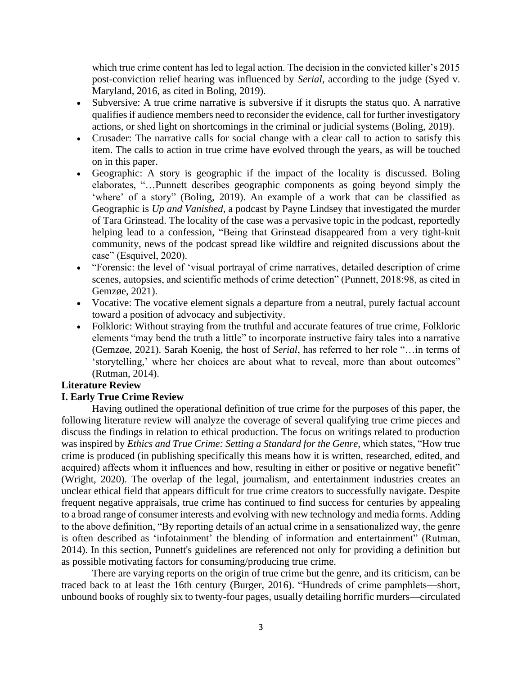which true crime content has led to legal action. The decision in the convicted killer's 2015 post-conviction relief hearing was influenced by *Serial*, according to the judge (Syed v. Maryland, 2016, as cited in Boling, 2019).

- Subversive: A true crime narrative is subversive if it disrupts the status quo. A narrative qualifies if audience members need to reconsider the evidence, call for further investigatory actions, or shed light on shortcomings in the criminal or judicial systems (Boling, 2019).
- Crusader: The narrative calls for social change with a clear call to action to satisfy this item. The calls to action in true crime have evolved through the years, as will be touched on in this paper.
- Geographic: A story is geographic if the impact of the locality is discussed. Boling elaborates, "…Punnett describes geographic components as going beyond simply the 'where' of a story" (Boling, 2019). An example of a work that can be classified as Geographic is *Up and Vanished*, a podcast by Payne Lindsey that investigated the murder of Tara Grinstead. The locality of the case was a pervasive topic in the podcast, reportedly helping lead to a confession, "Being that Grinstead disappeared from a very tight-knit community, news of the podcast spread like wildfire and reignited discussions about the case" (Esquivel, 2020).
- "Forensic: the level of 'visual portrayal of crime narratives, detailed description of crime scenes, autopsies, and scientific methods of crime detection" (Punnett, 2018:98, as cited in Gemzøe, 2021).
- Vocative: The vocative element signals a departure from a neutral, purely factual account toward a position of advocacy and subjectivity.
- Folkloric: Without straying from the truthful and accurate features of true crime, Folkloric elements "may bend the truth a little" to incorporate instructive fairy tales into a narrative (Gemzøe, 2021). Sarah Koenig, the host of *Serial*, has referred to her role "…in terms of 'storytelling,' where her choices are about what to reveal, more than about outcomes" (Rutman, 2014).

# **Literature Review**

# **I. Early True Crime Review**

Having outlined the operational definition of true crime for the purposes of this paper, the following literature review will analyze the coverage of several qualifying true crime pieces and discuss the findings in relation to ethical production. The focus on writings related to production was inspired by *Ethics and True Crime: Setting a Standard for the Genre*, which states, "How true crime is produced (in publishing specifically this means how it is written, researched, edited, and acquired) affects whom it influences and how, resulting in either or positive or negative benefit" (Wright, 2020). The overlap of the legal, journalism, and entertainment industries creates an unclear ethical field that appears difficult for true crime creators to successfully navigate. Despite frequent negative appraisals, true crime has continued to find success for centuries by appealing to a broad range of consumer interests and evolving with new technology and media forms. Adding to the above definition, "By reporting details of an actual crime in a sensationalized way, the genre is often described as 'infotainment' the blending of information and entertainment" (Rutman, 2014). In this section, Punnett's guidelines are referenced not only for providing a definition but as possible motivating factors for consuming/producing true crime.

There are varying reports on the origin of true crime but the genre, and its criticism, can be traced back to at least the 16th century (Burger, 2016). "Hundreds of crime pamphlets—short, unbound books of roughly six to twenty-four pages, usually detailing horrific murders—circulated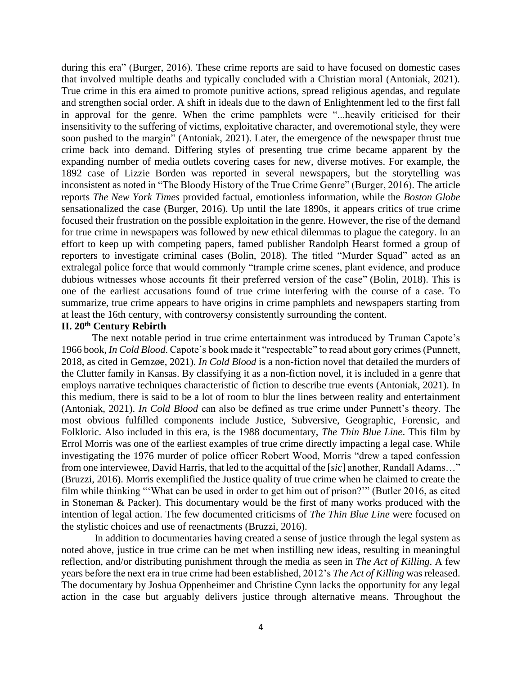during this era" (Burger, 2016). These crime reports are said to have focused on domestic cases that involved multiple deaths and typically concluded with a Christian moral (Antoniak, 2021). True crime in this era aimed to promote punitive actions, spread religious agendas, and regulate and strengthen social order. A shift in ideals due to the dawn of Enlightenment led to the first fall in approval for the genre. When the crime pamphlets were "...heavily criticised for their insensitivity to the suffering of victims, exploitative character, and overemotional style, they were soon pushed to the margin" (Antoniak, 2021). Later, the emergence of the newspaper thrust true crime back into demand. Differing styles of presenting true crime became apparent by the expanding number of media outlets covering cases for new, diverse motives. For example, the 1892 case of Lizzie Borden was reported in several newspapers, but the storytelling was inconsistent as noted in "The Bloody History of the True Crime Genre" (Burger, 2016). The article reports *The New York Times* provided factual, emotionless information, while the *Boston Globe* sensationalized the case (Burger, 2016). Up until the late 1890s, it appears critics of true crime focused their frustration on the possible exploitation in the genre. However, the rise of the demand for true crime in newspapers was followed by new ethical dilemmas to plague the category. In an effort to keep up with competing papers, famed publisher Randolph Hearst formed a group of reporters to investigate criminal cases (Bolin, 2018). The titled "Murder Squad" acted as an extralegal police force that would commonly "trample crime scenes, plant evidence, and produce dubious witnesses whose accounts fit their preferred version of the case" (Bolin, 2018). This is one of the earliest accusations found of true crime interfering with the course of a case. To summarize, true crime appears to have origins in crime pamphlets and newspapers starting from at least the 16th century, with controversy consistently surrounding the content.

# **II. 20th Century Rebirth**

The next notable period in true crime entertainment was introduced by Truman Capote's 1966 book, *In Cold Blood*. Capote's book made it "respectable" to read about gory crimes (Punnett, 2018, as cited in Gemzøe, 2021). *In Cold Blood* is a non-fiction novel that detailed the murders of the Clutter family in Kansas. By classifying it as a non-fiction novel, it is included in a genre that employs narrative techniques characteristic of fiction to describe true events (Antoniak, 2021). In this medium, there is said to be a lot of room to blur the lines between reality and entertainment (Antoniak, 2021). *In Cold Blood* can also be defined as true crime under Punnett's theory. The most obvious fulfilled components include Justice, Subversive, Geographic, Forensic, and Folkloric. Also included in this era, is the 1988 documentary, *The Thin Blue Line*. This film by Errol Morris was one of the earliest examples of true crime directly impacting a legal case. While investigating the 1976 murder of police officer Robert Wood, Morris "drew a taped confession from one interviewee, David Harris, that led to the acquittal of the [*sic*] another, Randall Adams…" (Bruzzi, 2016). Morris exemplified the Justice quality of true crime when he claimed to create the film while thinking "'What can be used in order to get him out of prison?'" (Butler 2016, as cited in Stoneman & Packer). This documentary would be the first of many works produced with the intention of legal action. The few documented criticisms of *The Thin Blue Line* were focused on the stylistic choices and use of reenactments (Bruzzi, 2016).

In addition to documentaries having created a sense of justice through the legal system as noted above, justice in true crime can be met when instilling new ideas, resulting in meaningful reflection, and/or distributing punishment through the media as seen in *The Act of Killing*. A few years before the next era in true crime had been established, 2012's *The Act of Killing* was released. The documentary by Joshua Oppenheimer and Christine Cynn lacks the opportunity for any legal action in the case but arguably delivers justice through alternative means. Throughout the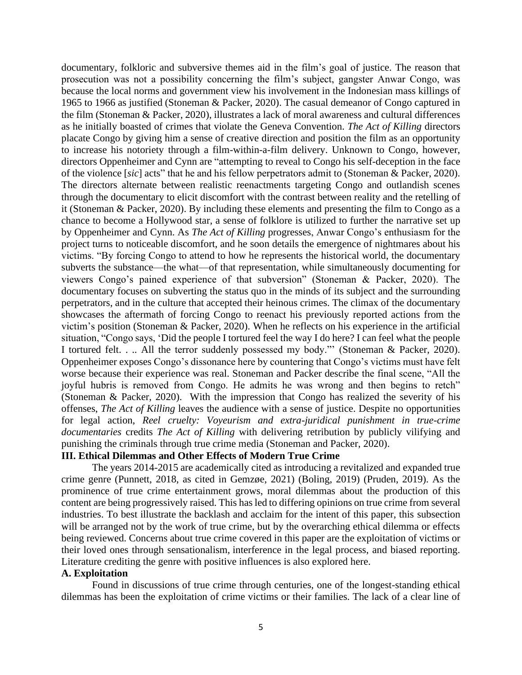documentary, folkloric and subversive themes aid in the film's goal of justice. The reason that prosecution was not a possibility concerning the film's subject, gangster Anwar Congo, was because the local norms and government view his involvement in the Indonesian mass killings of 1965 to 1966 as justified (Stoneman & Packer, 2020). The casual demeanor of Congo captured in the film (Stoneman & Packer, 2020), illustrates a lack of moral awareness and cultural differences as he initially boasted of crimes that violate the Geneva Convention. *The Act of Killing* directors placate Congo by giving him a sense of creative direction and position the film as an opportunity to increase his notoriety through a film-within-a-film delivery. Unknown to Congo, however, directors Oppenheimer and Cynn are "attempting to reveal to Congo his self-deception in the face of the violence [*sic*] acts" that he and his fellow perpetrators admit to (Stoneman & Packer, 2020). The directors alternate between realistic reenactments targeting Congo and outlandish scenes through the documentary to elicit discomfort with the contrast between reality and the retelling of it (Stoneman & Packer, 2020). By including these elements and presenting the film to Congo as a chance to become a Hollywood star, a sense of folklore is utilized to further the narrative set up by Oppenheimer and Cynn. As *The Act of Killing* progresses, Anwar Congo's enthusiasm for the project turns to noticeable discomfort, and he soon details the emergence of nightmares about his victims. "By forcing Congo to attend to how he represents the historical world, the documentary subverts the substance—the what—of that representation, while simultaneously documenting for viewers Congo's pained experience of that subversion" (Stoneman & Packer, 2020). The documentary focuses on subverting the status quo in the minds of its subject and the surrounding perpetrators, and in the culture that accepted their heinous crimes. The climax of the documentary showcases the aftermath of forcing Congo to reenact his previously reported actions from the victim's position (Stoneman & Packer, 2020). When he reflects on his experience in the artificial situation, "Congo says, 'Did the people I tortured feel the way I do here? I can feel what the people I tortured felt. . .. All the terror suddenly possessed my body."' (Stoneman & Packer, 2020). Oppenheimer exposes Congo's dissonance here by countering that Congo's victims must have felt worse because their experience was real. Stoneman and Packer describe the final scene, "All the joyful hubris is removed from Congo. He admits he was wrong and then begins to retch" (Stoneman & Packer, 2020). With the impression that Congo has realized the severity of his offenses, *The Act of Killing* leaves the audience with a sense of justice. Despite no opportunities for legal action, *Reel cruelty: Voyeurism and extra-juridical punishment in true-crime documentaries* credits *The Act of Killing* with delivering retribution by publicly vilifying and punishing the criminals through true crime media (Stoneman and Packer, 2020).

# **III. Ethical Dilemmas and Other Effects of Modern True Crime**

The years 2014-2015 are academically cited as introducing a revitalized and expanded true crime genre (Punnett, 2018, as cited in Gemzøe, 2021) (Boling, 2019) (Pruden, 2019). As the prominence of true crime entertainment grows, moral dilemmas about the production of this content are being progressively raised. This has led to differing opinions on true crime from several industries. To best illustrate the backlash and acclaim for the intent of this paper, this subsection will be arranged not by the work of true crime, but by the overarching ethical dilemma or effects being reviewed. Concerns about true crime covered in this paper are the exploitation of victims or their loved ones through sensationalism, interference in the legal process, and biased reporting. Literature crediting the genre with positive influences is also explored here.

### **A. Exploitation**

Found in discussions of true crime through centuries, one of the longest-standing ethical dilemmas has been the exploitation of crime victims or their families. The lack of a clear line of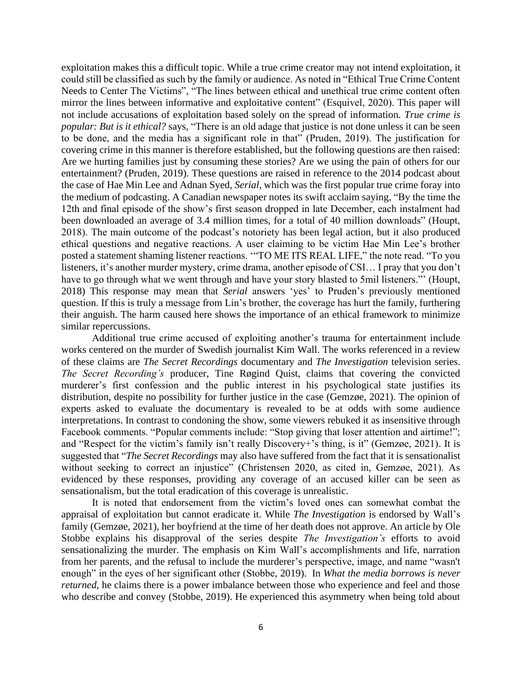exploitation makes this a difficult topic. While a true crime creator may not intend exploitation, it could still be classified as such by the family or audience. As noted in "Ethical True Crime Content Needs to Center The Victims", "The lines between ethical and unethical true crime content often mirror the lines between informative and exploitative content" (Esquivel, 2020). This paper will not include accusations of exploitation based solely on the spread of information. *True crime is popular: But is it ethical?* says, "There is an old adage that justice is not done unless it can be seen to be done, and the media has a significant role in that" (Pruden, 2019). The justification for covering crime in this manner is therefore established, but the following questions are then raised: Are we hurting families just by consuming these stories? Are we using the pain of others for our entertainment? (Pruden, 2019). These questions are raised in reference to the 2014 podcast about the case of Hae Min Lee and Adnan Syed, *Serial*, which was the first popular true crime foray into the medium of podcasting. A Canadian newspaper notes its swift acclaim saying, "By the time the 12th and final episode of the show's first season dropped in late December, each instalment had been downloaded an average of 3.4 million times, for a total of 40 million downloads" (Houpt, 2018). The main outcome of the podcast's notoriety has been legal action, but it also produced ethical questions and negative reactions. A user claiming to be victim Hae Min Lee's brother posted a statement shaming listener reactions. '"TO ME ITS REAL LIFE," the note read. "To you listeners, it's another murder mystery, crime drama, another episode of CSI… I pray that you don't have to go through what we went through and have your story blasted to 5mil listeners."' (Houpt, 2018) This response may mean that *Serial* answers 'yes' to Pruden's previously mentioned question. If this is truly a message from Lin's brother, the coverage has hurt the family, furthering their anguish. The harm caused here shows the importance of an ethical framework to minimize similar repercussions.

Additional true crime accused of exploiting another's trauma for entertainment include works centered on the murder of Swedish journalist Kim Wall. The works referenced in a review of these claims are *The Secret Recordings* documentary and *The Investigation* television series. *The Secret Recording's* producer, Tine Røgind Quist, claims that covering the convicted murderer's first confession and the public interest in his psychological state justifies its distribution, despite no possibility for further justice in the case (Gemzøe, 2021). The opinion of experts asked to evaluate the documentary is revealed to be at odds with some audience interpretations. In contrast to condoning the show, some viewers rebuked it as insensitive through Facebook comments. "Popular comments include: "Stop giving that loser attention and airtime!"; and "Respect for the victim's family isn't really Discovery+'s thing, is it" (Gemzøe, 2021). It is suggested that "*The Secret Recordings* may also have suffered from the fact that it is sensationalist without seeking to correct an injustice" (Christensen 2020, as cited in, Gemzøe, 2021). As evidenced by these responses, providing any coverage of an accused killer can be seen as sensationalism, but the total eradication of this coverage is unrealistic.

It is noted that endorsement from the victim's loved ones can somewhat combat the appraisal of exploitation but cannot eradicate it. While *The Investigation* is endorsed by Wall's family (Gemzøe, 2021), her boyfriend at the time of her death does not approve. An article by Ole Stobbe explains his disapproval of the series despite *The Investigation's* efforts to avoid sensationalizing the murder. The emphasis on Kim Wall's accomplishments and life, narration from her parents, and the refusal to include the murderer's perspective, image, and name "wasn't enough" in the eyes of her significant other (Stobbe, 2019). In *What the media borrows is never returned,* he claims there is a power imbalance between those who experience and feel and those who describe and convey (Stobbe, 2019). He experienced this asymmetry when being told about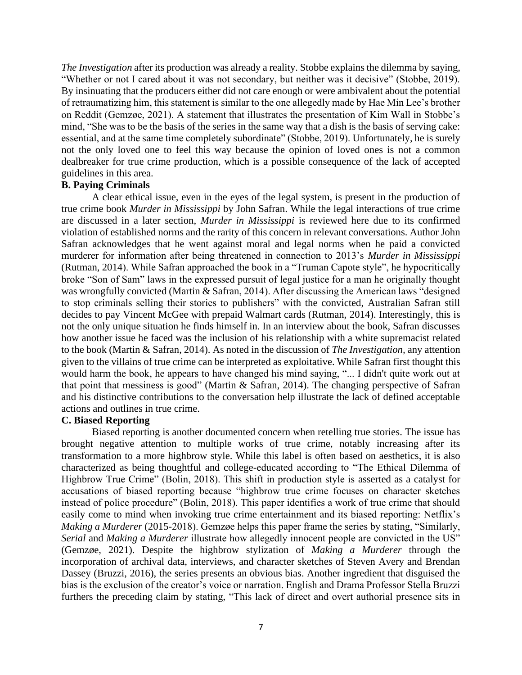*The Investigation* after its production was already a reality. Stobbe explains the dilemma by saying, "Whether or not I cared about it was not secondary, but neither was it decisive" (Stobbe, 2019). By insinuating that the producers either did not care enough or were ambivalent about the potential of retraumatizing him, this statement is similar to the one allegedly made by Hae Min Lee's brother on Reddit (Gemzøe, 2021). A statement that illustrates the presentation of Kim Wall in Stobbe's mind, "She was to be the basis of the series in the same way that a dish is the basis of serving cake: essential, and at the same time completely subordinate" (Stobbe, 2019). Unfortunately, he is surely not the only loved one to feel this way because the opinion of loved ones is not a common dealbreaker for true crime production, which is a possible consequence of the lack of accepted guidelines in this area.

#### **B. Paying Criminals**

A clear ethical issue, even in the eyes of the legal system, is present in the production of true crime book *Murder in Mississippi* by John Safran. While the legal interactions of true crime are discussed in a later section, *Murder in Mississippi* is reviewed here due to its confirmed violation of established norms and the rarity of this concern in relevant conversations. Author John Safran acknowledges that he went against moral and legal norms when he paid a convicted murderer for information after being threatened in connection to 2013's *Murder in Mississippi* (Rutman, 2014). While Safran approached the book in a "Truman Capote style", he hypocritically broke "Son of Sam" laws in the expressed pursuit of legal justice for a man he originally thought was wrongfully convicted (Martin & Safran, 2014). After discussing the American laws "designed to stop criminals selling their stories to publishers" with the convicted, Australian Safran still decides to pay Vincent McGee with prepaid Walmart cards (Rutman, 2014). Interestingly, this is not the only unique situation he finds himself in. In an interview about the book, Safran discusses how another issue he faced was the inclusion of his relationship with a white supremacist related to the book (Martin & Safran, 2014). As noted in the discussion of *The Investigation,* any attention given to the villains of true crime can be interpreted as exploitative. While Safran first thought this would harm the book, he appears to have changed his mind saying, "... I didn't quite work out at that point that messiness is good" (Martin & Safran, 2014). The changing perspective of Safran and his distinctive contributions to the conversation help illustrate the lack of defined acceptable actions and outlines in true crime.

# **C. Biased Reporting**

Biased reporting is another documented concern when retelling true stories. The issue has brought negative attention to multiple works of true crime, notably increasing after its transformation to a more highbrow style. While this label is often based on aesthetics, it is also characterized as being thoughtful and college-educated according to "The Ethical Dilemma of Highbrow True Crime" (Bolin, 2018). This shift in production style is asserted as a catalyst for accusations of biased reporting because "highbrow true crime focuses on character sketches instead of police procedure" (Bolin, 2018). This paper identifies a work of true crime that should easily come to mind when invoking true crime entertainment and its biased reporting: Netflix's *Making a Murderer* (2015-2018). Gemzøe helps this paper frame the series by stating, "Similarly, *Serial* and *Making a Murderer* illustrate how allegedly innocent people are convicted in the US" (Gemzøe, 2021). Despite the highbrow stylization of *Making a Murderer* through the incorporation of archival data, interviews, and character sketches of Steven Avery and Brendan Dassey (Bruzzi, 2016), the series presents an obvious bias. Another ingredient that disguised the bias is the exclusion of the creator's voice or narration. English and Drama Professor Stella Bruzzi furthers the preceding claim by stating, "This lack of direct and overt authorial presence sits in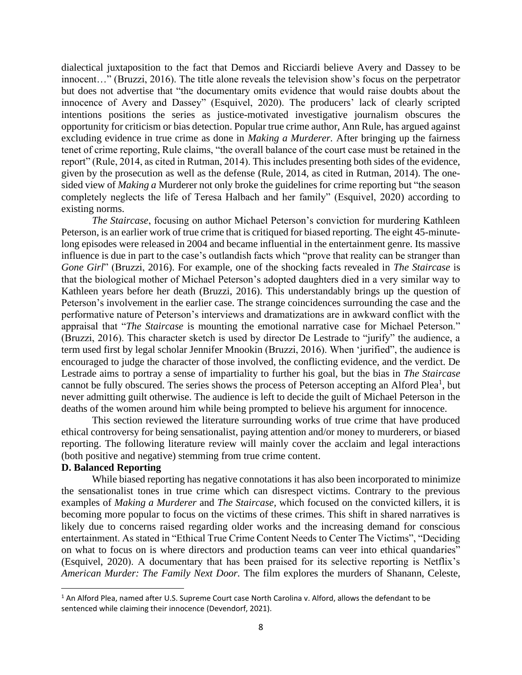dialectical juxtaposition to the fact that Demos and Ricciardi believe Avery and Dassey to be innocent…" (Bruzzi, 2016). The title alone reveals the television show's focus on the perpetrator but does not advertise that "the documentary omits evidence that would raise doubts about the innocence of Avery and Dassey" (Esquivel, 2020). The producers' lack of clearly scripted intentions positions the series as justice-motivated investigative journalism obscures the opportunity for criticism or bias detection. Popular true crime author, Ann Rule, has argued against excluding evidence in true crime as done in *Making a Murderer.* After bringing up the fairness tenet of crime reporting, Rule claims, "the overall balance of the court case must be retained in the report" (Rule, 2014, as cited in Rutman, 2014). This includes presenting both sides of the evidence, given by the prosecution as well as the defense (Rule, 2014, as cited in Rutman, 2014). The onesided view of *Making a* Murderer not only broke the guidelines for crime reporting but "the season completely neglects the life of Teresa Halbach and her family" (Esquivel, 2020) according to existing norms.

*The Staircase*, focusing on author Michael Peterson's conviction for murdering Kathleen Peterson, is an earlier work of true crime that is critiqued for biased reporting. The eight 45-minutelong episodes were released in 2004 and became influential in the entertainment genre. Its massive influence is due in part to the case's outlandish facts which "prove that reality can be stranger than *Gone Girl*" (Bruzzi, 2016). For example, one of the shocking facts revealed in *The Staircase* is that the biological mother of Michael Peterson's adopted daughters died in a very similar way to Kathleen years before her death (Bruzzi, 2016). This understandably brings up the question of Peterson's involvement in the earlier case. The strange coincidences surrounding the case and the performative nature of Peterson's interviews and dramatizations are in awkward conflict with the appraisal that "*The Staircase* is mounting the emotional narrative case for Michael Peterson." (Bruzzi, 2016). This character sketch is used by director De Lestrade to "jurify" the audience, a term used first by legal scholar Jennifer Mnookin (Bruzzi, 2016). When 'jurified", the audience is encouraged to judge the character of those involved, the conflicting evidence, and the verdict. De Lestrade aims to portray a sense of impartiality to further his goal, but the bias in *The Staircase*  cannot be fully obscured. The series shows the process of Peterson accepting an Alford Plea<sup>1</sup>, but never admitting guilt otherwise. The audience is left to decide the guilt of Michael Peterson in the deaths of the women around him while being prompted to believe his argument for innocence.

This section reviewed the literature surrounding works of true crime that have produced ethical controversy for being sensationalist, paying attention and/or money to murderers, or biased reporting. The following literature review will mainly cover the acclaim and legal interactions (both positive and negative) stemming from true crime content.

# **D. Balanced Reporting**

While biased reporting has negative connotations it has also been incorporated to minimize the sensationalist tones in true crime which can disrespect victims. Contrary to the previous examples of *Making a Murderer* and *The Staircase,* which focused on the convicted killers, it is becoming more popular to focus on the victims of these crimes. This shift in shared narratives is likely due to concerns raised regarding older works and the increasing demand for conscious entertainment. As stated in "Ethical True Crime Content Needs to Center The Victims", "Deciding on what to focus on is where directors and production teams can veer into ethical quandaries" (Esquivel, 2020). A documentary that has been praised for its selective reporting is Netflix's *American Murder: The Family Next Door.* The film explores the murders of Shanann, Celeste,

 $1$  An Alford Plea, named after U.S. Supreme Court case North Carolina v. Alford, allows the defendant to be sentenced while claiming their innocence (Devendorf, 2021).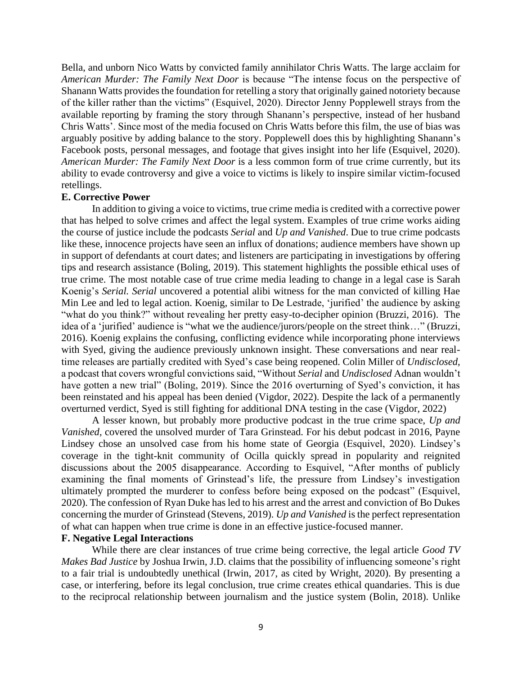Bella, and unborn Nico Watts by convicted family annihilator Chris Watts. The large acclaim for *American Murder: The Family Next Door* is because "The intense focus on the perspective of Shanann Watts provides the foundation for retelling a story that originally gained notoriety because of the killer rather than the victims" (Esquivel, 2020). Director Jenny Popplewell strays from the available reporting by framing the story through Shanann's perspective, instead of her husband Chris Watts'. Since most of the media focused on Chris Watts before this film, the use of bias was arguably positive by adding balance to the story. Popplewell does this by highlighting Shanann's Facebook posts, personal messages, and footage that gives insight into her life (Esquivel, 2020). *American Murder: The Family Next Door* is a less common form of true crime currently, but its ability to evade controversy and give a voice to victims is likely to inspire similar victim-focused retellings.

### **E. Corrective Power**

In addition to giving a voice to victims, true crime media is credited with a corrective power that has helped to solve crimes and affect the legal system. Examples of true crime works aiding the course of justice include the podcasts *Serial* and *Up and Vanished*. Due to true crime podcasts like these, innocence projects have seen an influx of donations; audience members have shown up in support of defendants at court dates; and listeners are participating in investigations by offering tips and research assistance (Boling, 2019). This statement highlights the possible ethical uses of true crime. The most notable case of true crime media leading to change in a legal case is Sarah Koenig's *Serial. Serial* uncovered a potential alibi witness for the man convicted of killing Hae Min Lee and led to legal action. Koenig, similar to De Lestrade, 'jurified' the audience by asking "what do you think?" without revealing her pretty easy-to-decipher opinion (Bruzzi, 2016). The idea of a 'jurified' audience is "what we the audience/jurors/people on the street think…" (Bruzzi, 2016). Koenig explains the confusing, conflicting evidence while incorporating phone interviews with Syed, giving the audience previously unknown insight. These conversations and near realtime releases are partially credited with Syed's case being reopened. Colin Miller of *Undisclosed*, a podcast that covers wrongful convictions said, "Without *Serial* and *Undisclosed* Adnan wouldn't have gotten a new trial" (Boling, 2019). Since the 2016 overturning of Syed's conviction, it has been reinstated and his appeal has been denied (Vigdor, 2022). Despite the lack of a permanently overturned verdict, Syed is still fighting for additional DNA testing in the case (Vigdor, 2022)

A lesser known, but probably more productive podcast in the true crime space, *Up and Vanished,* covered the unsolved murder of Tara Grinstead. For his debut podcast in 2016, Payne Lindsey chose an unsolved case from his home state of Georgia (Esquivel, 2020). Lindsey's coverage in the tight-knit community of Ocilla quickly spread in popularity and reignited discussions about the 2005 disappearance. According to Esquivel, "After months of publicly examining the final moments of Grinstead's life, the pressure from Lindsey's investigation ultimately prompted the murderer to confess before being exposed on the podcast" (Esquivel, 2020). The confession of Ryan Duke has led to his arrest and the arrest and conviction of Bo Dukes concerning the murder of Grinstead (Stevens, 2019). *Up and Vanished* is the perfect representation of what can happen when true crime is done in an effective justice-focused manner.

#### **F. Negative Legal Interactions**

While there are clear instances of true crime being corrective, the legal article *Good TV Makes Bad Justice* by Joshua Irwin, J.D. claims that the possibility of influencing someone's right to a fair trial is undoubtedly unethical (Irwin, 2017, as cited by Wright, 2020). By presenting a case, or interfering, before its legal conclusion, true crime creates ethical quandaries. This is due to the reciprocal relationship between journalism and the justice system (Bolin, 2018). Unlike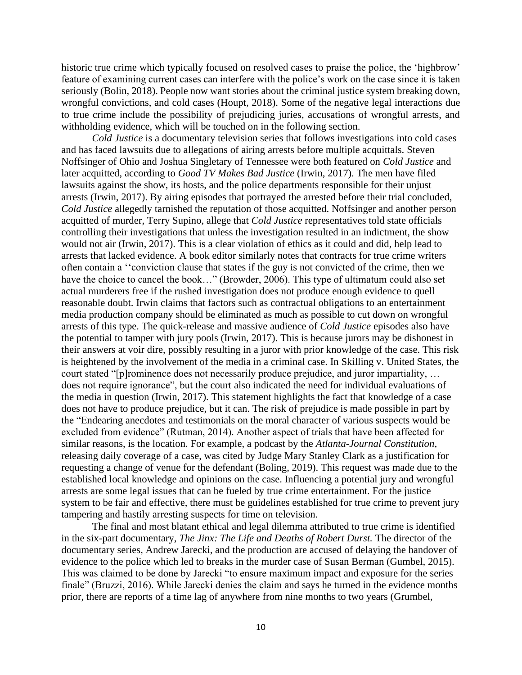historic true crime which typically focused on resolved cases to praise the police, the 'highbrow' feature of examining current cases can interfere with the police's work on the case since it is taken seriously (Bolin, 2018). People now want stories about the criminal justice system breaking down, wrongful convictions, and cold cases (Houpt, 2018). Some of the negative legal interactions due to true crime include the possibility of prejudicing juries, accusations of wrongful arrests, and withholding evidence, which will be touched on in the following section.

*Cold Justice* is a documentary television series that follows investigations into cold cases and has faced lawsuits due to allegations of airing arrests before multiple acquittals. Steven Noffsinger of Ohio and Joshua Singletary of Tennessee were both featured on *Cold Justice* and later acquitted, according to *Good TV Makes Bad Justice* (Irwin, 2017). The men have filed lawsuits against the show, its hosts, and the police departments responsible for their unjust arrests (Irwin, 2017). By airing episodes that portrayed the arrested before their trial concluded, *Cold Justice* allegedly tarnished the reputation of those acquitted. Noffsinger and another person acquitted of murder, Terry Supino, allege that *Cold Justice* representatives told state officials controlling their investigations that unless the investigation resulted in an indictment, the show would not air (Irwin, 2017). This is a clear violation of ethics as it could and did, help lead to arrests that lacked evidence. A book editor similarly notes that contracts for true crime writers often contain a ''conviction clause that states if the guy is not convicted of the crime, then we have the choice to cancel the book..." (Browder, 2006). This type of ultimatum could also set actual murderers free if the rushed investigation does not produce enough evidence to quell reasonable doubt. Irwin claims that factors such as contractual obligations to an entertainment media production company should be eliminated as much as possible to cut down on wrongful arrests of this type. The quick-release and massive audience of *Cold Justice* episodes also have the potential to tamper with jury pools (Irwin, 2017). This is because jurors may be dishonest in their answers at voir dire, possibly resulting in a juror with prior knowledge of the case. This risk is heightened by the involvement of the media in a criminal case. In Skilling v. United States, the court stated "[p]rominence does not necessarily produce prejudice, and juror impartiality, … does not require ignorance", but the court also indicated the need for individual evaluations of the media in question (Irwin, 2017). This statement highlights the fact that knowledge of a case does not have to produce prejudice, but it can. The risk of prejudice is made possible in part by the "Endearing anecdotes and testimonials on the moral character of various suspects would be excluded from evidence" (Rutman, 2014). Another aspect of trials that have been affected for similar reasons, is the location. For example, a podcast by the *Atlanta-Journal Constitution*, releasing daily coverage of a case, was cited by Judge Mary Stanley Clark as a justification for requesting a change of venue for the defendant (Boling, 2019). This request was made due to the established local knowledge and opinions on the case. Influencing a potential jury and wrongful arrests are some legal issues that can be fueled by true crime entertainment. For the justice system to be fair and effective, there must be guidelines established for true crime to prevent jury tampering and hastily arresting suspects for time on television.

The final and most blatant ethical and legal dilemma attributed to true crime is identified in the six-part documentary, *The Jinx: The Life and Deaths of Robert Durst.* The director of the documentary series, Andrew Jarecki, and the production are accused of delaying the handover of evidence to the police which led to breaks in the murder case of Susan Berman (Gumbel, 2015). This was claimed to be done by Jarecki "to ensure maximum impact and exposure for the series finale" (Bruzzi, 2016). While Jarecki denies the claim and says he turned in the evidence months prior, there are reports of a time lag of anywhere from nine months to two years (Grumbel,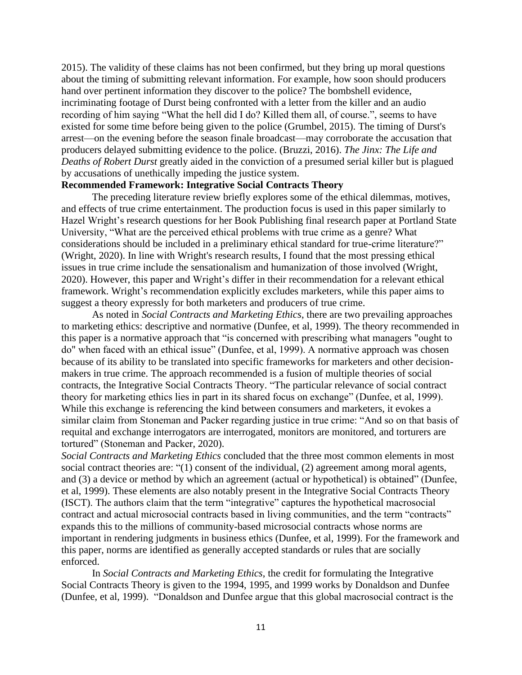2015). The validity of these claims has not been confirmed, but they bring up moral questions about the timing of submitting relevant information. For example, how soon should producers hand over pertinent information they discover to the police? The bombshell evidence, incriminating footage of Durst being confronted with a letter from the killer and an audio recording of him saying "What the hell did I do? Killed them all, of course.", seems to have existed for some time before being given to the police (Grumbel, 2015). The timing of Durst's arrest—on the evening before the season finale broadcast—may corroborate the accusation that producers delayed submitting evidence to the police. (Bruzzi, 2016). *The Jinx: The Life and Deaths of Robert Durst* greatly aided in the conviction of a presumed serial killer but is plagued by accusations of unethically impeding the justice system.

# **Recommended Framework: Integrative Social Contracts Theory**

The preceding literature review briefly explores some of the ethical dilemmas, motives, and effects of true crime entertainment. The production focus is used in this paper similarly to Hazel Wright's research questions for her Book Publishing final research paper at Portland State University, "What are the perceived ethical problems with true crime as a genre? What considerations should be included in a preliminary ethical standard for true-crime literature?" (Wright, 2020). In line with Wright's research results, I found that the most pressing ethical issues in true crime include the sensationalism and humanization of those involved (Wright, 2020). However, this paper and Wright's differ in their recommendation for a relevant ethical framework. Wright's recommendation explicitly excludes marketers, while this paper aims to suggest a theory expressly for both marketers and producers of true crime.

As noted in *Social Contracts and Marketing Ethics*, there are two prevailing approaches to marketing ethics: descriptive and normative (Dunfee, et al, 1999). The theory recommended in this paper is a normative approach that "is concerned with prescribing what managers "ought to do" when faced with an ethical issue" (Dunfee, et al, 1999). A normative approach was chosen because of its ability to be translated into specific frameworks for marketers and other decisionmakers in true crime. The approach recommended is a fusion of multiple theories of social contracts, the Integrative Social Contracts Theory. "The particular relevance of social contract theory for marketing ethics lies in part in its shared focus on exchange" (Dunfee, et al, 1999). While this exchange is referencing the kind between consumers and marketers, it evokes a similar claim from Stoneman and Packer regarding justice in true crime: "And so on that basis of requital and exchange interrogators are interrogated, monitors are monitored, and torturers are tortured" (Stoneman and Packer, 2020).

*Social Contracts and Marketing Ethics* concluded that the three most common elements in most social contract theories are: "(1) consent of the individual, (2) agreement among moral agents, and (3) a device or method by which an agreement (actual or hypothetical) is obtained" (Dunfee, et al, 1999). These elements are also notably present in the Integrative Social Contracts Theory (ISCT). The authors claim that the term "integrative" captures the hypothetical macrosocial contract and actual microsocial contracts based in living communities, and the term "contracts" expands this to the millions of community-based microsocial contracts whose norms are important in rendering judgments in business ethics (Dunfee, et al, 1999). For the framework and this paper, norms are identified as generally accepted standards or rules that are socially enforced.

In *Social Contracts and Marketing Ethics*, the credit for formulating the Integrative Social Contracts Theory is given to the 1994, 1995, and 1999 works by Donaldson and Dunfee (Dunfee, et al, 1999). "Donaldson and Dunfee argue that this global macrosocial contract is the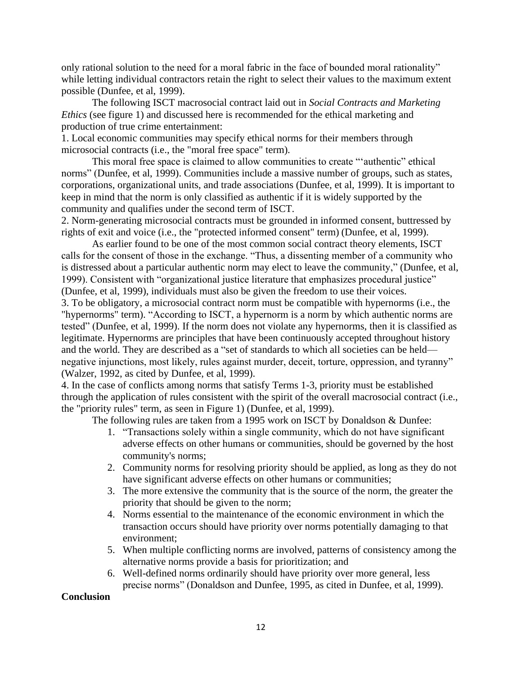only rational solution to the need for a moral fabric in the face of bounded moral rationality" while letting individual contractors retain the right to select their values to the maximum extent possible (Dunfee, et al, 1999).

The following ISCT macrosocial contract laid out in *Social Contracts and Marketing Ethics* (see figure 1) and discussed here is recommended for the ethical marketing and production of true crime entertainment:

1. Local economic communities may specify ethical norms for their members through microsocial contracts (i.e., the "moral free space" term).

This moral free space is claimed to allow communities to create "'authentic" ethical norms" (Dunfee, et al, 1999). Communities include a massive number of groups, such as states, corporations, organizational units, and trade associations (Dunfee, et al, 1999). It is important to keep in mind that the norm is only classified as authentic if it is widely supported by the community and qualifies under the second term of ISCT.

2. Norm-generating microsocial contracts must be grounded in informed consent, buttressed by rights of exit and voice (i.e., the "protected informed consent" term) (Dunfee, et al, 1999).

As earlier found to be one of the most common social contract theory elements, ISCT calls for the consent of those in the exchange. "Thus, a dissenting member of a community who is distressed about a particular authentic norm may elect to leave the community," (Dunfee, et al, 1999). Consistent with "organizational justice literature that emphasizes procedural justice" (Dunfee, et al, 1999), individuals must also be given the freedom to use their voices.

3. To be obligatory, a microsocial contract norm must be compatible with hypernorms (i.e., the "hypernorms" term). "According to ISCT, a hypernorm is a norm by which authentic norms are tested" (Dunfee, et al, 1999). If the norm does not violate any hypernorms, then it is classified as legitimate. Hypernorms are principles that have been continuously accepted throughout history and the world. They are described as a "set of standards to which all societies can be held negative injunctions, most likely, rules against murder, deceit, torture, oppression, and tyranny" (Walzer, 1992, as cited by Dunfee, et al, 1999).

4. In the case of conflicts among norms that satisfy Terms 1-3, priority must be established through the application of rules consistent with the spirit of the overall macrosocial contract (i.e., the "priority rules" term, as seen in Figure 1) (Dunfee, et al, 1999).

The following rules are taken from a 1995 work on ISCT by Donaldson & Dunfee:

- 1. "Transactions solely within a single community, which do not have significant adverse effects on other humans or communities, should be governed by the host community's norms;
- 2. Community norms for resolving priority should be applied, as long as they do not have significant adverse effects on other humans or communities;
- 3. The more extensive the community that is the source of the norm, the greater the priority that should be given to the norm;
- 4. Norms essential to the maintenance of the economic environment in which the transaction occurs should have priority over norms potentially damaging to that environment;
- 5. When multiple conflicting norms are involved, patterns of consistency among the alternative norms provide a basis for prioritization; and
- 6. Well-defined norms ordinarily should have priority over more general, less precise norms" (Donaldson and Dunfee, 1995, as cited in Dunfee, et al, 1999).

# **Conclusion**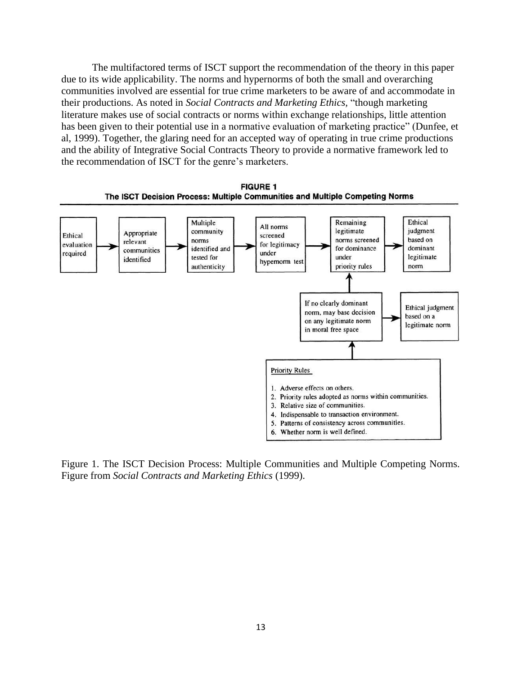The multifactored terms of ISCT support the recommendation of the theory in this paper due to its wide applicability. The norms and hypernorms of both the small and overarching communities involved are essential for true crime marketers to be aware of and accommodate in their productions. As noted in *Social Contracts and Marketing Ethics,* "though marketing literature makes use of social contracts or norms within exchange relationships, little attention has been given to their potential use in a normative evaluation of marketing practice" (Dunfee, et al, 1999). Together, the glaring need for an accepted way of operating in true crime productions and the ability of Integrative Social Contracts Theory to provide a normative framework led to the recommendation of ISCT for the genre's marketers.



Figure 1. The ISCT Decision Process: Multiple Communities and Multiple Competing Norms. Figure from *Social Contracts and Marketing Ethics* (1999).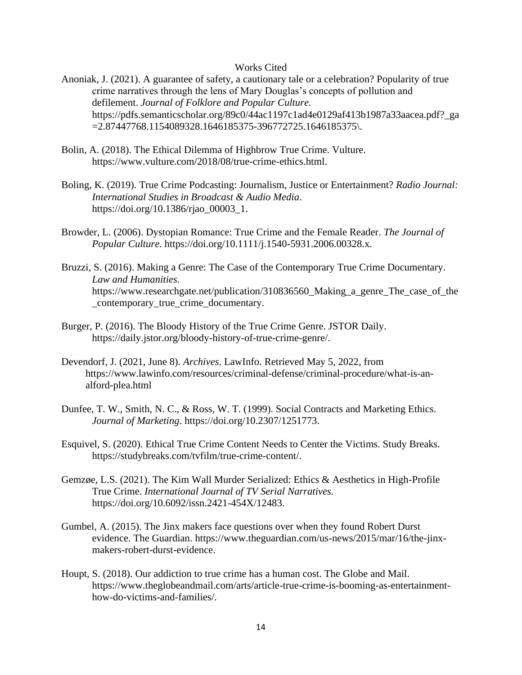#### Works Cited

- Anoniak, J. (2021). A guarantee of safety, a cautionary tale or a celebration? Popularity of true crime narratives through the lens of Mary Douglas's concepts of pollution and defilement. *Journal of Folklore and Popular Culture.* https://pdfs.semanticscholar.org/89c0/44ac1197c1ad4e0129af413b1987a33aacea.pdf?\_ga =2.87447768.1154089328.1646185375-396772725.1646185375\.
- Bolin, A. (2018). The Ethical Dilemma of Highbrow True Crime. Vulture. https://www.vulture.com/2018/08/true-crime-ethics.html.
- Boling, K. (2019). True Crime Podcasting: Journalism, Justice or Entertainment? *Radio Journal: International Studies in Broadcast & Audio Media*. https://doi.org/10.1386/rjao\_00003\_1.
- Browder, L. (2006). Dystopian Romance: True Crime and the Female Reader. *The Journal of Popular Culture.* https://doi.org/10.1111/j.1540-5931.2006.00328.x.
- Bruzzi, S. (2016). Making a Genre: The Case of the Contemporary True Crime Documentary. *Law and Humanities.* https://www.researchgate.net/publication/310836560\_Making\_a\_genre\_The\_case\_of\_the \_contemporary\_true\_crime\_documentary.
- Burger, P. (2016). The Bloody History of the True Crime Genre. JSTOR Daily. https://daily.jstor.org/bloody-history-of-true-crime-genre/.
- Devendorf, J. (2021, June 8). *Archives*. LawInfo. Retrieved May 5, 2022, from https://www.lawinfo.com/resources/criminal-defense/criminal-procedure/what-is-analford-plea.html
- Dunfee, T. W., Smith, N. C., & Ross, W. T. (1999). Social Contracts and Marketing Ethics. *Journal of Marketing*. https://doi.org/10.2307/1251773.
- Esquivel, S. (2020). Ethical True Crime Content Needs to Center the Victims. Study Breaks. https://studybreaks.com/tvfilm/true-crime-content/.
- Gemzøe, L.S. (2021). The Kim Wall Murder Serialized: Ethics & Aesthetics in High-Profile True Crime. *International Journal of TV Serial Narratives.* https://doi.org/10.6092/issn.2421-454X/12483.
- Gumbel, A. (2015). The Jinx makers face questions over when they found Robert Durst evidence. The Guardian. https://www.theguardian.com/us-news/2015/mar/16/the-jinxmakers-robert-durst-evidence.
- Houpt, S. (2018). Our addiction to true crime has a human cost. The Globe and Mail. https://www.theglobeandmail.com/arts/article-true-crime-is-booming-as-entertainmenthow-do-victims-and-families/.